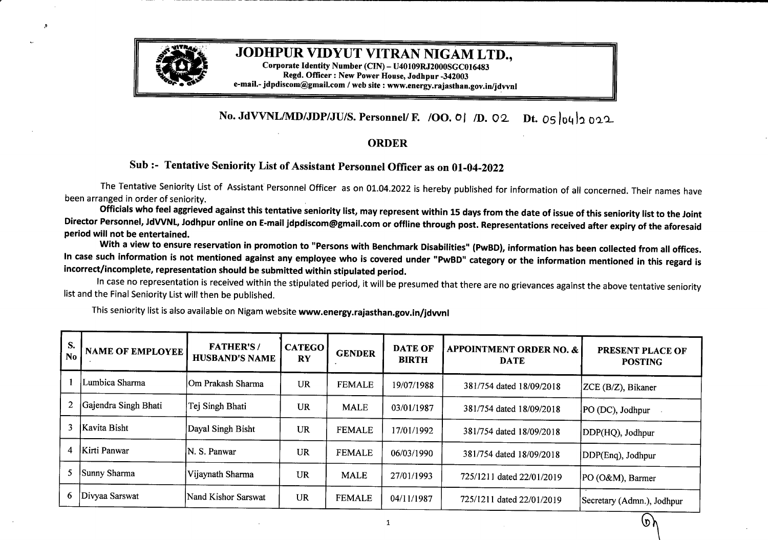

## **JODHPUR VIDYUT VITRAN NIGAM LTD.,**

**Corporate Identity Number (CIN) - U40109RJ2000SGC016483 Regd. Officer: New Power House, Jodhpur -342003 e-mail.- jdpdiscom@gmail.com /web site : www.energy.rajasthan.gov.in/jdvvnl**

## **No. JdVVNL/MD/JDPJUIS. Personnel/ F. IOO.** O] */D.* 02 **Dt.** O5l04J9 022

- ·-----------------------------------------

## **ORDER**

## **Sub :- Tentative Seniority List ofAssistant Personnel Officer as on 01-04-2022**

The Tentative Seniority List of Assistant Personnel Officer as on 01.04.2022 is hereby published for information of all concerned. Their names have been arranged in order of seniority.

Officials who feel aggrieved against this tentative seniority list, may represent within 15 days from the date of issue of this seniority list to the Joint Director Personnel, JdVVNL, Jodhpur online on E-mail jdpdiscom@gmail.com or offline through post. Representations received after expiry of the aforesaid **period will not be entertained.**

With a view to ensure reservation in promotion to "Persons with Benchmark Disabilities" (PwBD), information has been collected from all offices. In case such information is not mentioned against any employee who is covered under "PwBD" category or the information mentioned in this regard is **incorrect/incomplete, representation should be submitted within stipulated period.**

In case no representation is received within the stipulated period, it will be presumed that there are no grievances against the above tentative seniority list and the Final Seniority List will then be published.

This seniority list is also available on Nigam website **www.energy.rajasthan.gov.in/jdvvnl**

| S.<br>No | <b>NAME OF EMPLOYEE</b> | <b>FATHER'S/</b><br><b>HUSBAND'S NAME</b> | <b>CATEGO</b><br><b>RY</b> | <b>GENDER</b> | <b>DATE OF</b><br><b>BIRTH</b> | <b>APPOINTMENT ORDER NO. &amp;</b><br><b>DATE</b> | PRESENT PLACE OF<br><b>POSTING</b> |
|----------|-------------------------|-------------------------------------------|----------------------------|---------------|--------------------------------|---------------------------------------------------|------------------------------------|
|          | Lumbica Sharma          | IOm Prakash Sharma                        | UR                         | <b>FEMALE</b> | 19/07/1988                     | 381/754 dated 18/09/2018                          | ZCE (B/Z), Bikaner                 |
| 2        | Gajendra Singh Bhati    | Tej Singh Bhati                           | <b>UR</b>                  | <b>MALE</b>   | 03/01/1987                     | 381/754 dated 18/09/2018                          | PO (DC), Jodhpur                   |
| 3        | Kavita Bisht            | Dayal Singh Bisht                         | <b>UR</b>                  | <b>FEMALE</b> | 17/01/1992                     | 381/754 dated 18/09/2018                          | DDP(HQ), Jodhpur                   |
| 4        | <b>Kirti Panwar</b>     | N. S. Panwar                              | UR                         | <b>FEMALE</b> | 06/03/1990                     | 381/754 dated 18/09/2018                          | DDP(Enq), Jodhpur                  |
|          | Sunny Sharma            | Vijaynath Sharma                          | UR                         | <b>MALE</b>   | 27/01/1993                     | 725/1211 dated 22/01/2019                         | PO (O&M), Barmer                   |
| 6        | Divyaa Sarswat          | Nand Kishor Sarswat                       | <b>UR</b>                  | <b>FEMALE</b> | 04/11/1987                     | 725/1211 dated 22/01/2019                         | Secretary (Admn.), Jodhpur         |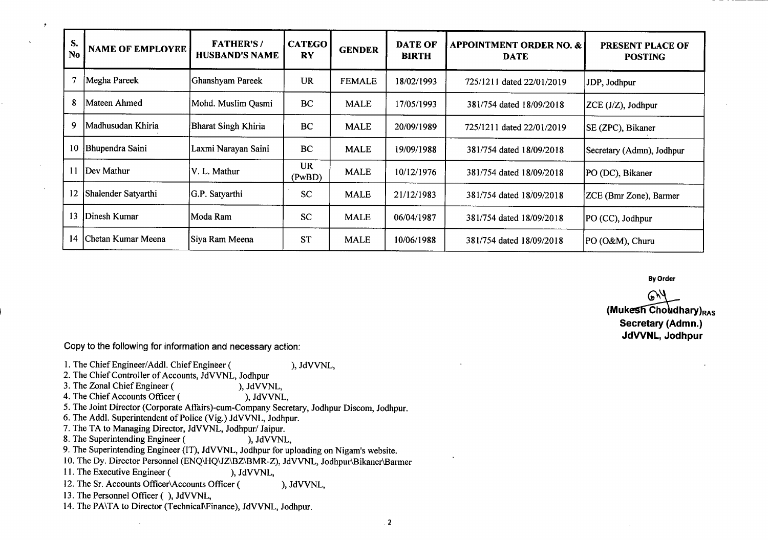| S.<br>N <sub>0</sub> | <b>NAME OF EMPLOYEE</b> | <b>FATHER'S/</b><br><b>HUSBAND'S NAME</b> | <b>CATEGO</b><br><b>RY</b> | <b>GENDER</b> | <b>DATE OF</b><br><b>BIRTH</b> | <b>APPOINTMENT ORDER NO. &amp;</b><br><b>DATE</b> | <b>PRESENT PLACE OF</b><br><b>POSTING</b> |
|----------------------|-------------------------|-------------------------------------------|----------------------------|---------------|--------------------------------|---------------------------------------------------|-------------------------------------------|
|                      | Megha Pareek            | Ghanshyam Pareek                          | <b>UR</b>                  | <b>FEMALE</b> | 18/02/1993                     | 725/1211 dated 22/01/2019                         | JDP, Jodhpur                              |
| 8                    | Mateen Ahmed            | Mohd. Muslim Qasmi                        | BC                         | <b>MALE</b>   | 17/05/1993                     | 381/754 dated 18/09/2018                          | $ZCE (J/Z)$ , Jodhpur                     |
| 9                    | Madhusudan Khiria       | <b>Bharat Singh Khiria</b>                | BC                         | <b>MALE</b>   | 20/09/1989                     | 725/1211 dated 22/01/2019                         | SE (ZPC), Bikaner                         |
| 10                   | Bhupendra Saini         | Laxmi Narayan Saini                       | BC                         | <b>MALE</b>   | 19/09/1988                     | 381/754 dated 18/09/2018                          | Secretary (Admn), Jodhpur                 |
| 11                   | Dev Mathur              | V. L. Mathur                              | <b>UR</b><br>(PwBD)        | <b>MALE</b>   | 10/12/1976                     | 381/754 dated 18/09/2018                          | PO (DC), Bikaner                          |
| 12                   | Shalender Satyarthi     | G.P. Satyarthi                            | <b>SC</b>                  | <b>MALE</b>   | 21/12/1983                     | 381/754 dated 18/09/2018                          | ZCE (Bmr Zone), Barmer                    |
| 13                   | Dinesh Kumar            | Moda Ram                                  | <b>SC</b>                  | <b>MALE</b>   | 06/04/1987                     | 381/754 dated 18/09/2018                          | PO (CC), Jodhpur                          |
| 14                   | Chetan Kumar Meena      | Siya Ram Meena                            | <b>ST</b>                  | <b>MALE</b>   | 10/06/1988                     | 381/754 dated 18/09/2018                          | PO (O&M), Churu                           |

**By Order**

**(Mukesh Choudhary)<sub>RAS</sub> Secretary (Admn.) JdVVNL, Jodhpur**

Copy to the following for information and necessary action:

J.

- 1. The Chief Engineer/Addl. Chief Engineer ( ), JdVVNL, 2. The Chief Controller of Accounts, JdVVNL, Jodhpur<br>3. The Zonal Chief Engineer (), JdVVNL, 3. The Zonal Chief Engineer (
(a)  $\frac{3.60 \text{ V}}{1.5}$ , JdVVNL, 4. The Chief Accounts Officer (
(b)  $\frac{3.60 \text{ V}}{1.5}$ , JdVVNL, 4. The Chief Accounts Officer ( 5. The Joint Director (Corporate Affairs)-cum-Company Secretary, Jodhpur Discom, Jodhpur. 6. The Addl. Superintendent of Police (Vig.) JdVVNL, Jodhpur. 7. The TA to Managing Director, JdVVNL, Jodhpur/ Jaipur.<br>8. The Superintending Engineer (exceptional), JdVVNL, 8. The Superintending Engineer ( 9. The Superintending Engineer (IT), JdVVNL, Jodhpur for uploading on Nigam's website. 10. The Dy. Director Personnel (ENQ\HQ\JZ\BZ\BMR-Z), JdVVNL, Jodhpur\Bikaner\Barmer 11. The Executive Engineer (), JdVVNL, 11. The Executive Engineer ( 12. The Sr. Accounts Officer\Accounts Officer ( ), JdVVNL, 13. The Personnel Officer (), JdVVNL,
- 14. The PA\TA to Director (Technical\Finance), JdVVNL, Jodhpur.

.2